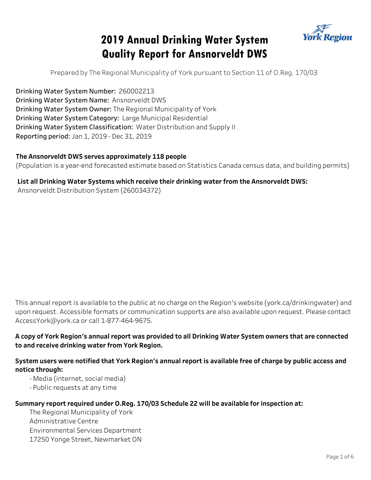# **2019 Annual Drinking Water System Quality Report for Ansnorveldt DWS**



Prepared by The Regional Municipality of York pursuant to Section 11 of O.Reg. 170/03

Drinking Water System Number: 260002213 Drinking Water System Name: Ansnorveldt DWS Drinking Water System Owner: The Regional Municipality of York Drinking Water System Category: Large Municipal Residential Drinking Water System Classification: Water Distribution and Supply II Reporting period: Jan 1, 2019 - Dec 31, 2019

#### The Ansnorveldt DWS serves approximately 118 people

(Population is a year-end forecasted estimate based on Statistics Canada census data, and building permits)

#### List all Drinking Water Systems which receive their drinking water from the Ansnorveldt DWS:

Ansnorveldt Distribution System (260034372)

This annual report is available to the public at no charge on the Region's website (york.ca/drinkingwater) and upon request. Accessible formats or communication supports are also available upon request. Please contact AccessYork@york.ca or call 1-877-464-9675.

#### **AcopyofYorkRegion'sannualreportwasprovidedtoallDrinkingWaterSystemownersthatareconnected toandreceivedrinkingwaterfromYorkRegion.**

#### System users were notified that York Region's annual report is available free of charge by public access and **notice through:**

- Media (internet, social media)

- Public requests at any time

#### Summary report required under O.Reg. 170/03 Schedule 22 will be available for inspection at:

The Regional Municipality of York Administrative Centre Environmental Services Department 17250 Yonge Street, Newmarket ON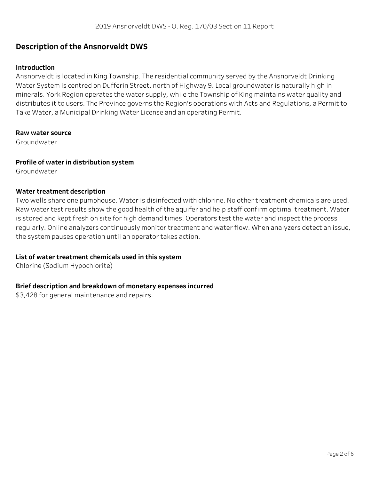### **Description of the Ansnorveldt DWS**

#### **Introduction**

Ansnorveldt is located in King Township. The residential community served by the Ansnorveldt Drinking Water System is centred on Dufferin Street, north of Highway 9. Local groundwater is naturally high in minerals. York Region operates the water supply, while the Township of King maintains water quality and distributes it to users. The Province governs the Region's operations with Acts and Regulations, a Permit to Take Water, a Municipal Drinking Water License and an operating Permit.

#### **Rawwatersource**

Groundwater

#### **Profile of water in distribution system**

Groundwater

#### **Water treatment description**

Two wells share one pumphouse. Water is disinfected with chlorine. No other treatment chemicals are used. Raw water test results show the good health of the aquifer and help staff confirm optimal treatment. Water is stored and kept fresh on site for high demand times. Operators test the water and inspect the process regularly. Online analyzers continuously monitor treatment and water flow. When analyzers detect an issue, the system pauses operation until an operator takes action.

#### List of water treatment chemicals used in this system

Chlorine (Sodium Hypochlorite)

#### **Briefdescriptionandbreakdownofmonetaryexpensesincurred**

\$3,428 for general maintenance and repairs.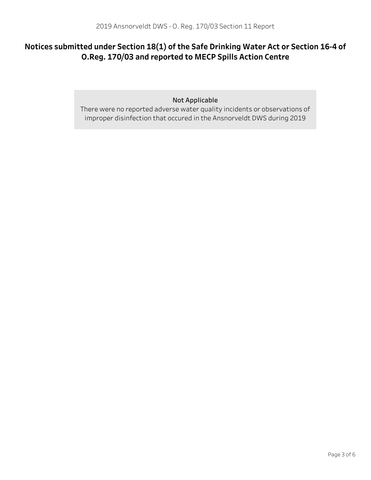# Notices submitted under Section 18(1) of the Safe Drinking Water Act or Section 16-4 of O.Reg. 170/03 and reported to MECP Spills Action Centre

Not Applicable

There were no reported adverse water quality incidents or observations of improper disinfection that occured in the Ansnorveldt DWS during 2019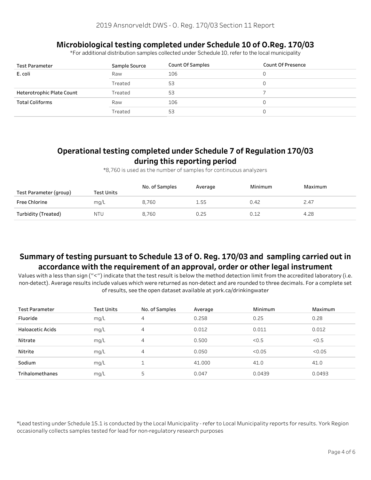# **MicrobiologicaltestingcompletedunderSchedule10ofO.Reg.170/03**

\*ForadditionaldistributionsamplescollectedunderSchedule10,refertothelocalmunicipality

| <b>Test Parameter</b>     | Sample Source | Count Of Samples | Count Of Presence |
|---------------------------|---------------|------------------|-------------------|
| E. coli                   | Raw           | 106              |                   |
|                           | Treated       | 53               |                   |
| Heterotrophic Plate Count | Treated       | 53               |                   |
| <b>Total Coliforms</b>    | Raw           | 106              |                   |
|                           | Treated       | 53               |                   |

# Operational testing completed under Schedule 7 of Regulation 170/03 during this reporting period

\*8,760isusedasthenumberofsamplesforcontinuousanalyzers

| Test Parameter (group) | Test Units | No. of Samples | Average | Minimum | Maximum |
|------------------------|------------|----------------|---------|---------|---------|
| Free Chlorine          | mq/L       | 8.760          | 1.55    | 0.42    | 2.47    |
| Turbidity (Treated)    | <b>NTU</b> | 8,760          | 0.25    | 0.12    | 4.28    |

# Summary of testing pursuant to Schedule 13 of O. Reg. 170/03 and sampling carried out in accordance with the requirement of an approval, order or other legal instrument

Values with a less than sign ("<") indicate that the test result is below the method detection limit from the accredited laboratory (i.e. non-detect). Average results include values which were returned as non-detect and are rounded to three decimals. For a complete set of results, see the open dataset available at york.ca/drinkingwater

| <b>Test Parameter</b>   | <b>Test Units</b> | No. of Samples | Average | Minimum | Maximum |
|-------------------------|-------------------|----------------|---------|---------|---------|
| Fluoride                | mg/L              | 4              | 0.258   | 0.25    | 0.28    |
| <b>Haloacetic Acids</b> | mq/L              | 4              | 0.012   | 0.011   | 0.012   |
| Nitrate                 | mg/L              | 4              | 0.500   | < 0.5   | < 0.5   |
| Nitrite                 | mg/L              | 4              | 0.050   | < 0.05  | < 0.05  |
| Sodium                  | mq/L              |                | 41.000  | 41.0    | 41.0    |
| Trihalomethanes         | mg/L              | 5              | 0.047   | 0.0439  | 0.0493  |

\*Lead testing under Schedule 15.1 is conducted by the Local Municipality - refer to Local Municipality reports for results. York Region occasionally collects samples tested for lead for non-regulatory research purposes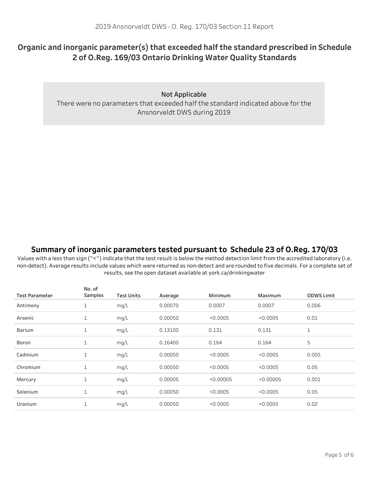# Organic and inorganic parameter(s) that exceeded half the standard prescribed in Schedule **2ofO.Reg.169/03OntarioDrinkingWaterQualityStandards**

**Not Applicable** 

There were no parameters that exceeded half the standard indicated above for the Ansnorveldt DWS during 2019

### Summary of inorganic parameters tested pursuant to Schedule 23 of O.Reg. 170/03

Values with a less than sign ("<") indicate that the test result is below the method detection limit from the accredited laboratory (i.e. non-detect). Average results include values which were returned as non-detect and are rounded to five decimals. For a complete set of results, see the open dataset available at york.ca/drinkingwater

| <b>Test Parameter</b> | No. of<br>Samples | <b>Test Units</b> | Average | Minimum   | Maximum   | <b>ODWS Limit</b> |
|-----------------------|-------------------|-------------------|---------|-----------|-----------|-------------------|
| Antimony              | 1                 | mg/L              | 0.00070 | 0.0007    | 0.0007    | 0.006             |
| Arsenic               | $\mathbf 1$       | mg/L              | 0.00050 | < 0.0005  | < 0.0005  | 0.01              |
| Barium                | $\mathbf{1}$      | mg/L              | 0.13100 | 0.131     | 0.131     | $\mathbf{1}$      |
| Boron                 | $\mathbf{1}$      | mg/L              | 0.16400 | 0.164     | 0.164     | 5                 |
| Cadmium               | $\mathbf{1}$      | mg/L              | 0.00050 | < 0.0005  | < 0.0005  | 0.005             |
| Chromium              | $\mathbf 1$       | mg/L              | 0.00050 | < 0.0005  | < 0.0005  | 0.05              |
| Mercury               | $\mathbf{1}$      | mg/L              | 0.00005 | < 0.00005 | < 0.00005 | 0.001             |
| Selenium              | $\mathbf{1}$      | mg/L              | 0.00050 | < 0.0005  | < 0.0005  | 0.05              |
| Uranium               | $\mathbf 1$       | mg/L              | 0.00050 | < 0.0005  | < 0.0005  | 0.02              |